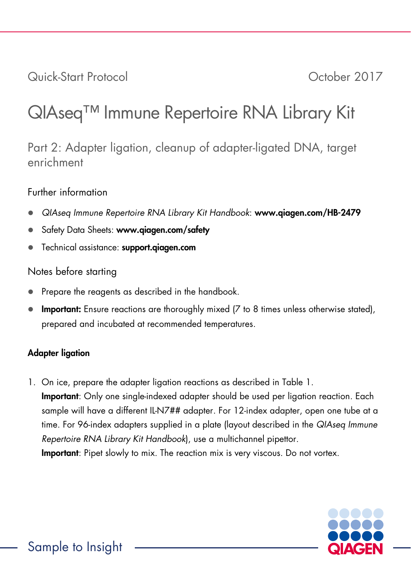Quick-Start Protocol October 2017

# QIAseq™ Immune Repertoire RNA Library Kit

Part 2: Adapter ligation, cleanup of adapter-ligated DNA, target enrichment

#### Further information

- *QIAseq Immune Repertoire RNA Library Kit Handbook*: www.qiagen.com/HB-2479
- Safety Data Sheets: www.giagen.com/safety
- Technical assistance: support.qiagen.com

### Notes before starting

- Prepare the reagents as described in the handbook.
- Important: Ensure reactions are thoroughly mixed (7 to 8 times unless otherwise stated), prepared and incubated at recommended temperatures.

## Adapter ligation

1. On ice, prepare the adapter ligation reactions as described in Table 1. **Important**: Only one single-indexed adapter should be used per ligation reaction. Each sample will have a different IL-N7## adapter. For 12-index adapter, open one tube at a time. For 96-index adapters supplied in a plate (layout described in the *QIAseq Immune Repertoire RNA Library Kit Handbook*), use a multichannel pipettor. Important: Pipet slowly to mix. The reaction mix is very viscous. Do not vortex.

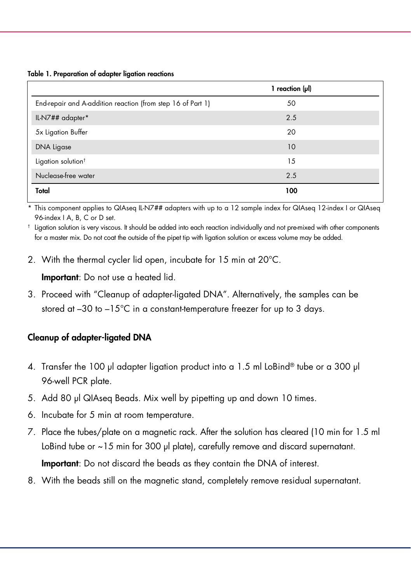Table 1. Preparation of adapter ligation reactions

|                                                             | 1 reaction $(\mu I)$ |  |
|-------------------------------------------------------------|----------------------|--|
| End-repair and A-addition reaction (from step 16 of Part 1) | 50                   |  |
| IL-N7## adapter*                                            | 2.5                  |  |
| 5x Ligation Buffer                                          | 20                   |  |
| DNA Ligase                                                  | 10                   |  |
| Ligation solution <sup>†</sup>                              | 15                   |  |
| Nuclease-free water                                         | 2.5                  |  |
| Total                                                       | 100                  |  |

This component applies to QIAseq IL-N7## adapters with up to a 12 sample index for QIAseq 12-index I or QIAseq 96-index I A, B, C or D set.

† Ligation solution is very viscous. It should be added into each reaction individually and not pre-mixed with other components for a master mix. Do not coat the outside of the pipet tip with ligation solution or excess volume may be added.

2. With the thermal cycler lid open, incubate for 15 min at 20°C.

Important: Do not use a heated lid.

3. Proceed with "Cleanup of adapter-ligated DNA". Alternatively, the samples can be stored at –30 to –15°C in a constant-temperature freezer for up to 3 days.

#### Cleanup of adapter-ligated DNA

- 4. Transfer the 100 µl adapter ligation product into a 1.5 ml LoBind® tube or a 300 µl 96-well PCR plate.
- 5. Add 80 µl QIAseq Beads. Mix well by pipetting up and down 10 times.
- 6. Incubate for 5 min at room temperature.
- 7. Place the tubes/plate on a magnetic rack. After the solution has cleared (10 min for 1.5 ml LoBind tube or  $\sim$  15 min for 300 µl plate), carefully remove and discard supernatant.

Important: Do not discard the beads as they contain the DNA of interest.

8. With the beads still on the magnetic stand, completely remove residual supernatant.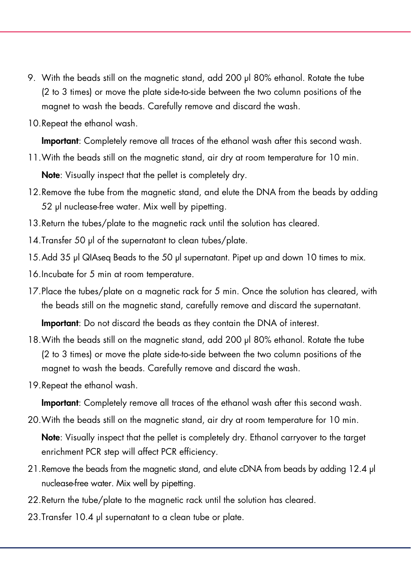- 9. With the beads still on the magnetic stand, add 200 µl 80% ethanol. Rotate the tube (2 to 3 times) or move the plate side-to-side between the two column positions of the magnet to wash the beads. Carefully remove and discard the wash.
- 10.Repeat the ethanol wash.

Important: Completely remove all traces of the ethanol wash after this second wash.

11.With the beads still on the magnetic stand, air dry at room temperature for 10 min.

Note: Visually inspect that the pellet is completely dry.

- 12.Remove the tube from the magnetic stand, and elute the DNA from the beads by adding 52 µl nuclease-free water. Mix well by pipetting.
- 13.Return the tubes/plate to the magnetic rack until the solution has cleared.
- 14. Transfer 50 µl of the supernatant to clean tubes/plate.
- 15.Add 35 µl QIAseq Beads to the 50 µl supernatant. Pipet up and down 10 times to mix.
- 16.Incubate for 5 min at room temperature.
- 17.Place the tubes/plate on a magnetic rack for 5 min. Once the solution has cleared, with the beads still on the magnetic stand, carefully remove and discard the supernatant.

Important: Do not discard the beads as they contain the DNA of interest.

- 18.With the beads still on the magnetic stand, add 200 µl 80% ethanol. Rotate the tube (2 to 3 times) or move the plate side-to-side between the two column positions of the magnet to wash the beads. Carefully remove and discard the wash.
- 19.Repeat the ethanol wash.

Important: Completely remove all traces of the ethanol wash after this second wash.

20.With the beads still on the magnetic stand, air dry at room temperature for 10 min.

Note: Visually inspect that the pellet is completely dry. Ethanol carryover to the target enrichment PCR step will affect PCR efficiency.

- 21.Remove the beads from the magnetic stand, and elute cDNA from beads by adding 12.4 µl nuclease-free water. Mix well by pipetting.
- 22. Return the tube/plate to the magnetic rack until the solution has cleared.
- 23. Transfer 10.4 µl supernatant to a clean tube or plate.